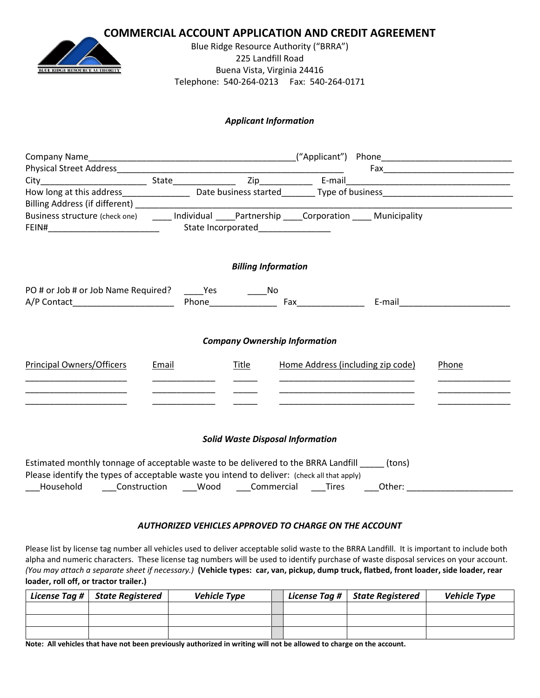## **COMMERCIAL ACCOUNT APPLICATION AND CREDIT AGREEMENT**



..................................

Blue Ridge Resource Authority ("BRRA") 225 Landfill Road Buena Vista, Virginia 24416 Telephone: 540-264-0213 Fax: 540-264-0171

#### *Applicant Information*

...............................

|                                                                                                                                                                                          |                       | <b>Billing Information</b>                            |                                                                                                                                                                                                                               |       |
|------------------------------------------------------------------------------------------------------------------------------------------------------------------------------------------|-----------------------|-------------------------------------------------------|-------------------------------------------------------------------------------------------------------------------------------------------------------------------------------------------------------------------------------|-------|
| PO # or Job # or Job Name Required? _____Yes _________No                                                                                                                                 |                       |                                                       |                                                                                                                                                                                                                               |       |
|                                                                                                                                                                                          |                       |                                                       |                                                                                                                                                                                                                               |       |
|                                                                                                                                                                                          |                       |                                                       |                                                                                                                                                                                                                               |       |
|                                                                                                                                                                                          |                       | <b>Company Ownership Information</b>                  |                                                                                                                                                                                                                               |       |
| <b>Principal Owners/Officers</b>                                                                                                                                                         | Email <b>Exercise</b> | Title                                                 | Home Address (including zip code)                                                                                                                                                                                             | Phone |
|                                                                                                                                                                                          |                       |                                                       |                                                                                                                                                                                                                               |       |
|                                                                                                                                                                                          |                       |                                                       | the control of the control of the control of the control of the control of the control of the control of the control of the control of the control of the control of the control of the control of the control of the control |       |
|                                                                                                                                                                                          |                       |                                                       |                                                                                                                                                                                                                               |       |
|                                                                                                                                                                                          |                       |                                                       |                                                                                                                                                                                                                               |       |
|                                                                                                                                                                                          |                       | <b>Solid Waste Disposal Information</b>               |                                                                                                                                                                                                                               |       |
| Estimated monthly tonnage of acceptable waste to be delivered to the BRRA Landfill (tons)<br>Please identify the types of acceptable waste you intend to deliver: (check all that apply) |                       |                                                       |                                                                                                                                                                                                                               |       |
| ___Household _____Construction ____Wood ____Commercial ____Tires _____Other: _______________________                                                                                     |                       |                                                       |                                                                                                                                                                                                                               |       |
|                                                                                                                                                                                          |                       |                                                       |                                                                                                                                                                                                                               |       |
|                                                                                                                                                                                          |                       |                                                       |                                                                                                                                                                                                                               |       |
|                                                                                                                                                                                          |                       | AUTHORIZED VEHICLES APPROVED TO CHARGE ON THE ACCOUNT |                                                                                                                                                                                                                               |       |

Please list by license tag number all vehicles used to deliver acceptable solid waste to the BRRA Landfill. It is important to include both alpha and numeric characters. These license tag numbers will be used to identify purchase of waste disposal services on your account. *(You may attach a separate sheet if necessary.)* **(Vehicle types: car, van, pickup, dump truck, flatbed, front loader, side loader, rear loader, roll off, or tractor trailer.)**

| License Tag $#$ State Registered | <b>Vehicle Type</b> |  | License Tag #   State Registered | <b>Vehicle Type</b> |
|----------------------------------|---------------------|--|----------------------------------|---------------------|
|                                  |                     |  |                                  |                     |
|                                  |                     |  |                                  |                     |
|                                  |                     |  |                                  |                     |

**Note: All vehicles that have not been previously authorized in writing will not be allowed to charge on the account.**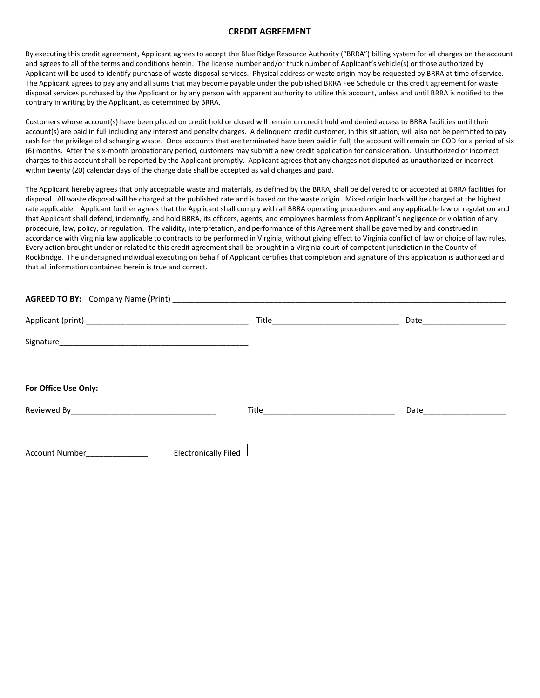#### **CREDIT AGREEMENT**

By executing this credit agreement, Applicant agrees to accept the Blue Ridge Resource Authority ("BRRA") billing system for all charges on the account and agrees to all of the terms and conditions herein. The license number and/or truck number of Applicant's vehicle(s) or those authorized by Applicant will be used to identify purchase of waste disposal services. Physical address or waste origin may be requested by BRRA at time of service. The Applicant agrees to pay any and all sums that may become payable under the published BRRA Fee Schedule or this credit agreement for waste disposal services purchased by the Applicant or by any person with apparent authority to utilize this account, unless and until BRRA is notified to the contrary in writing by the Applicant, as determined by BRRA.

Customers whose account(s) have been placed on credit hold or closed will remain on credit hold and denied access to BRRA facilities until their account(s) are paid in full including any interest and penalty charges. A delinquent credit customer, in this situation, will also not be permitted to pay cash for the privilege of discharging waste. Once accounts that are terminated have been paid in full, the account will remain on COD for a period of six (6) months. After the six-month probationary period, customers may submit a new credit application for consideration. Unauthorized or incorrect charges to this account shall be reported by the Applicant promptly. Applicant agrees that any charges not disputed as unauthorized or incorrect within twenty (20) calendar days of the charge date shall be accepted as valid charges and paid.

The Applicant hereby agrees that only acceptable waste and materials, as defined by the BRRA, shall be delivered to or accepted at BRRA facilities for disposal. All waste disposal will be charged at the published rate and is based on the waste origin. Mixed origin loads will be charged at the highest rate applicable. Applicant further agrees that the Applicant shall comply with all BRRA operating procedures and any applicable law or regulation and that Applicant shall defend, indemnify, and hold BRRA, its officers, agents, and employees harmless from Applicant's negligence or violation of any procedure, law, policy, or regulation. The validity, interpretation, and performance of this Agreement shall be governed by and construed in accordance with Virginia law applicable to contracts to be performed in Virginia, without giving effect to Virginia conflict of law or choice of law rules. Every action brought under or related to this credit agreement shall be brought in a Virginia court of competent jurisdiction in the County of Rockbridge. The undersigned individual executing on behalf of Applicant certifies that completion and signature of this application is authorized and that all information contained herein is true and correct.

| For Office Use Only:                 |                             |  |
|--------------------------------------|-----------------------------|--|
|                                      |                             |  |
|                                      |                             |  |
| <b>Account Number</b> Account Number | Electronically Filed $\Box$ |  |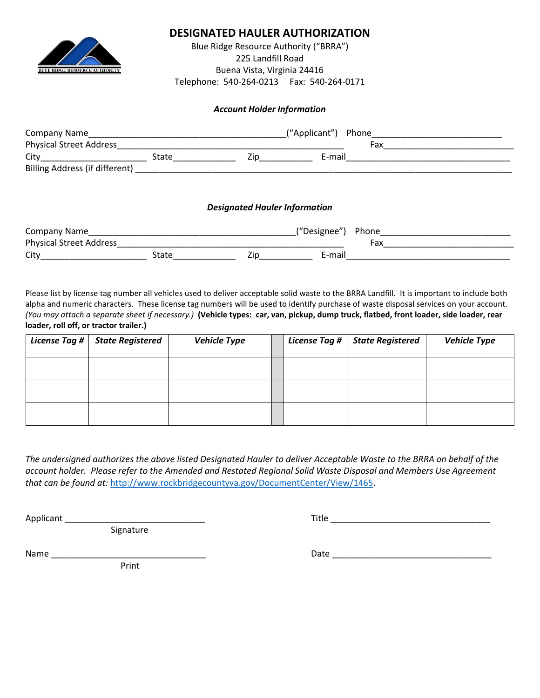

-------

## **DESIGNATED HAULER AUTHORIZATION**

Blue Ridge Resource Authority ("BRRA") 225 Landfill Road Buena Vista, Virginia 24416 Telephone: 540-264-0213 Fax: 540-264-0171

### *Account Holder Information*

| <b>Physical Street Address</b>       |  | Fax and the contract of the contract of the contract of the contract of the contract of the contract of the contract of the contract of the contract of the contract of the contract of the contract of the contract of the co |  |                                                                                                                |  |  |
|--------------------------------------|--|--------------------------------------------------------------------------------------------------------------------------------------------------------------------------------------------------------------------------------|--|----------------------------------------------------------------------------------------------------------------|--|--|
|                                      |  | Zip and the set of the set of the set of the set of the set of the set of the set of the set of the set of the                                                                                                                 |  | E-mail and the contract of the contract of the contract of the contract of the contract of the contract of the |  |  |
| <b>Designated Hauler Information</b> |  |                                                                                                                                                                                                                                |  |                                                                                                                |  |  |

| <b>Company Name</b>            |       |     | ("Designee") Phone |     |
|--------------------------------|-------|-----|--------------------|-----|
| <b>Physical Street Address</b> |       |     |                    | ⊦ax |
| City                           | State | Zin | E-mail             |     |

Please list by license tag number all vehicles used to deliver acceptable solid waste to the BRRA Landfill. It is important to include both alpha and numeric characters. These license tag numbers will be used to identify purchase of waste disposal services on your account. *(You may attach a separate sheet if necessary.)* **(Vehicle types: car, van, pickup, dump truck, flatbed, front loader, side loader, rear loader, roll off, or tractor trailer.)**

| <b>License Tag #</b> | State Registered | <b>Vehicle Type</b> | License Tag # | <b>State Registered</b> | <b>Vehicle Type</b> |
|----------------------|------------------|---------------------|---------------|-------------------------|---------------------|
|                      |                  |                     |               |                         |                     |
|                      |                  |                     |               |                         |                     |
|                      |                  |                     |               |                         |                     |

.....................

*The undersigned authorizes the above listed Designated Hauler to deliver Acceptable Waste to the BRRA on behalf of the account holder. Please refer to the Amended and Restated Regional Solid Waste Disposal and Members Use Agreement that can be found at:* [http://www.rockbridgecountyva.gov/DocumentCenter/View/1465.](http://www.rockbridgecountyva.gov/DocumentCenter/View/1465)

Signature

Applicant \_\_\_\_\_\_\_\_\_\_\_\_\_\_\_\_\_\_\_\_\_\_\_\_\_\_\_\_\_ Title \_\_\_\_\_\_\_\_\_\_\_\_\_\_\_\_\_\_\_\_\_\_\_\_\_\_\_\_\_\_\_\_\_

Name \_\_\_\_\_\_\_\_\_\_\_\_\_\_\_\_\_\_\_\_\_\_\_\_\_\_\_\_\_\_\_\_ Date \_\_\_\_\_\_\_\_\_\_\_\_\_\_\_\_\_\_\_\_\_\_\_\_\_\_\_\_\_\_\_\_\_

Print